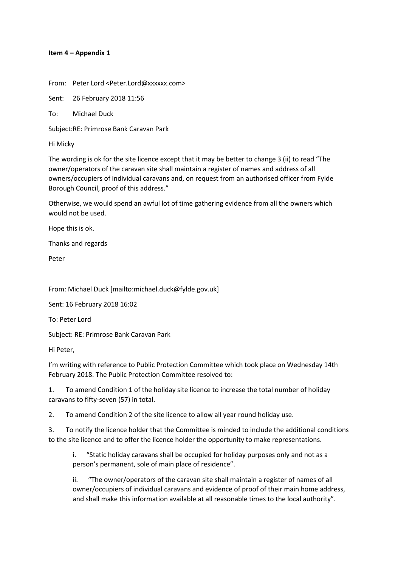## Item 4 - Appendix 1

From: Peter Lord <Peter.Lord@xxxxxx.com>

Sent: 26 February 2018 11:56

 $To:$ **Michael Duck** 

Subject:RE: Primrose Bank Caravan Park

Hi Micky

The wording is ok for the site licence except that it may be better to change 3 (ii) to read "The owner/operators of the caravan site shall maintain a register of names and address of all owners/occupiers of individual caravans and, on request from an authorised officer from Fylde Borough Council, proof of this address."

Otherwise, we would spend an awful lot of time gathering evidence from all the owners which would not be used.

Hope this is ok.

Thanks and regards

Peter

From: Michael Duck [mailto:michael.duck@fylde.gov.uk]

Sent: 16 February 2018 16:02

To: Peter Lord

Subject: RE: Primrose Bank Caravan Park

Hi Peter,

I'm writing with reference to Public Protection Committee which took place on Wednesday 14th February 2018. The Public Protection Committee resolved to:

To amend Condition 1 of the holiday site licence to increase the total number of holiday  $1.$ caravans to fifty-seven (57) in total.

 $2.$ To amend Condition 2 of the site licence to allow all year round holiday use.

 $3<sub>1</sub>$ To notify the licence holder that the Committee is minded to include the additional conditions to the site licence and to offer the licence holder the opportunity to make representations.

"Static holiday caravans shall be occupied for holiday purposes only and not as a i. person's permanent, sole of main place of residence".

"The owner/operators of the caravan site shall maintain a register of names of all ii. owner/occupiers of individual caravans and evidence of proof of their main home address, and shall make this information available at all reasonable times to the local authority".